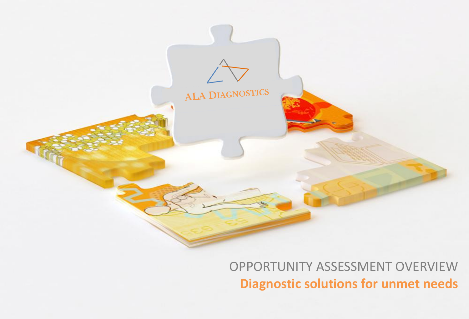

OPPORTUNITY ASSESSMENT OVERVIEW **Diagnostic solutions for unmet needs**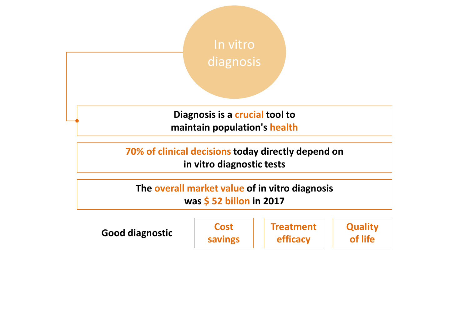

**70% of clinical decisions today directly depend on in vitro diagnostic tests**

**The overall market value of in vitro diagnosis was \$ 52 billon in 2017**

**of life Good diagnostic diagnostic diagnostic diagnostic diagnostic diagnostic diagnostic diagnostic diagnostic diagnostic diagnostic diagnostic diagnostic diagnostic diagnostic diagnosti** 

**Cost savings** **Treatment efficacy**

**Quality**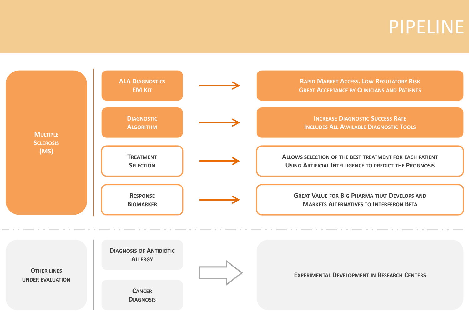### PIPELINE

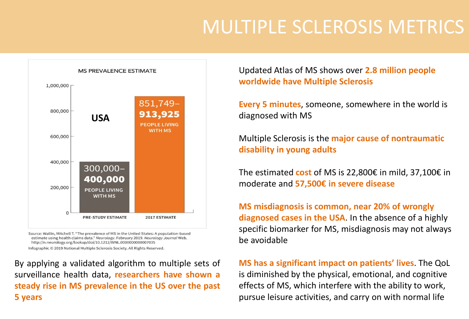# MULTIPLE SCLEROSIS METRICS



Source: Wallin, Mitchell T. "The prevalence of MS in the United States: A population-based estimate using health claims data." Neurology. February 2019. Neurology Journal Web. http://n.neurology.org/lookup/doi/10.1212/WNL.0000000000007035

Infographic © 2019 National Multiple Sclerosis Society. All Rights Reserved.

By applying a validated algorithm to multiple sets of surveillance health data, **researchers have shown a steady rise in MS prevalence in the US over the past 5 years**

Updated Atlas of MS shows over **2.8 million people worldwide have Multiple Sclerosis**

**Every 5 minutes**, someone, somewhere in the world is diagnosed with MS

Multiple Sclerosis is the **major cause of nontraumatic disability in young adults**

The estimated **cost** of MS is 22,800€ in mild, 37,100€ in moderate and **57,500€ in severe disease**

**MS misdiagnosis is common, near 20% of wrongly diagnosed cases in the USA**. In the absence of a highly specific biomarker for MS, misdiagnosis may not always be avoidable

**MS has a significant impact on patients' lives**. The QoL is diminished by the physical, emotional, and cognitive effects of MS, which interfere with the ability to work, pursue leisure activities, and carry on with normal life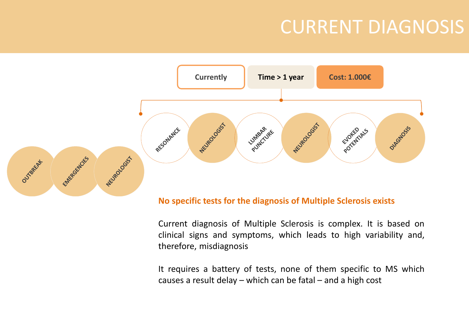## CURRENT DIAGNOSIS



#### **No specific tests for the diagnosis of Multiple Sclerosis exists**

Current diagnosis of Multiple Sclerosis is complex. It is based on clinical signs and symptoms, which leads to high variability and, therefore, misdiagnosis

It requires a battery of tests, none of them specific to MS which causes a result delay – which can be fatal – and a high cost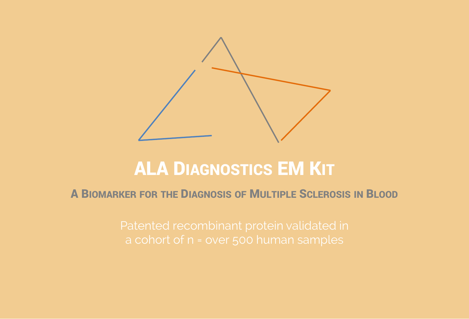

### ALA DIAGNOSTICS EM KIT

#### A BIOMARKER FOR THE DIAGNOSIS OF MULTIPLE SCLEROSIS IN BLOOD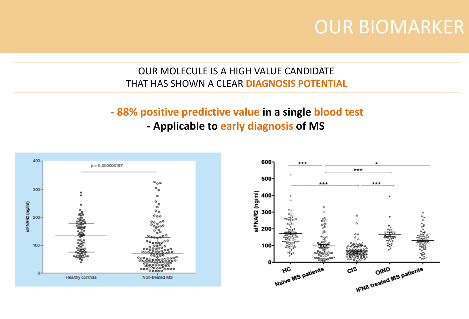### OUR BIOMARKER

#### OUR MOLECULE IS A HIGH VALUE CANDIDATE THAT HAS SHOWN A CLEAR **DIAGNOSIS POTENTIAL**

### **- 88% positive predictive value in a single blood test**





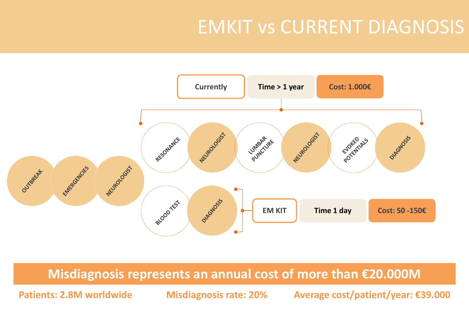# EMKIT vs CURRENT DIAGNOSIS



#### **Misdiagnosis represents an annual cost of more than €20.000M**

**Patients: 2.8M worldwide Misdiagnosis rate: 20% Average cost/patient/year: €39.000**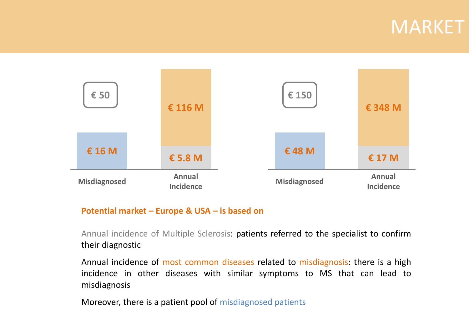### MARKET



#### **Potential market – Europe & USA – is based on**

Annual incidence of Multiple Sclerosis: patients referred to the specialist to confirm their diagnostic

Annual incidence of most common diseases related to misdiagnosis: there is a high incidence in other diseases with similar symptoms to MS that can lead to misdiagnosis

Moreover, there is a patient pool of misdiagnosed patients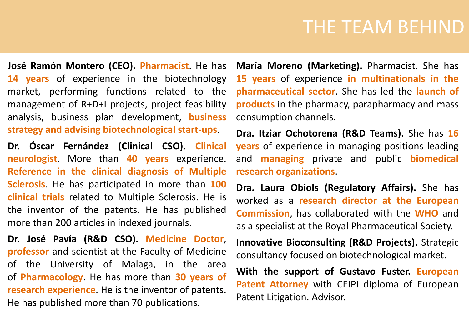### THE TEAM BEHIND

**José Ramón Montero (CEO). Pharmacist**. He has **14 years** of experience in the biotechnology market, performing functions related to the management of R+D+I projects, project feasibility analysis, business plan development, **business strategy and advising biotechnological start-ups**.

**Dr. Óscar Fernández (Clinical CSO). Clinical neurologist**. More than **40 years** experience. **Reference in the clinical diagnosis of Multiple Sclerosis**. He has participated in more than **100 clinical trials** related to Multiple Sclerosis. He is the inventor of the patents. He has published more than 200 articles in indexed journals.

**Dr. José Pavía (R&D CSO). Medicine Doctor**, **professor** and scientist at the Faculty of Medicine of the University of Malaga, in the area of **Pharmacology**. He has more than **30 years of research experience**. He is the inventor of patents. He has published more than 70 publications.

**María Moreno (Marketing).** Pharmacist. She has **15 years** of experience **in multinationals in the pharmaceutical sector**. She has led the **launch of products** in the pharmacy, parapharmacy and mass consumption channels.

**Dra. Itziar Ochotorena (R&D Teams).** She has **16 years** of experience in managing positions leading and **managing** private and public **biomedical research organizations**.

**Dra. Laura Obiols (Regulatory Affairs).** She has worked as a **research director at the European Commission**, has collaborated with the **WHO** and as a specialist at the Royal Pharmaceutical Society.

**Innovative Bioconsulting (R&D Projects).** Strategic consultancy focused on biotechnological market.

**With the support of Gustavo Fuster. European Patent Attorney** with CEIPI diploma of European Patent Litigation. Advisor.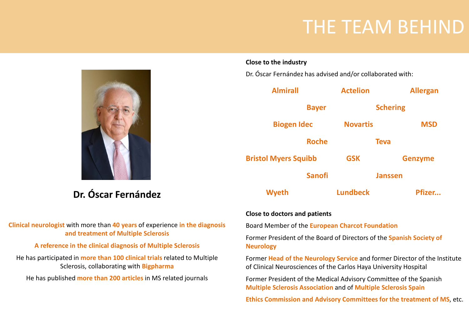### THE TEAM BEHIND

**Dr. Óscar Fernández**

#### **Clinical neurologist** with more than **40 years** of experience **in the diagnosis and treatment of Multiple Sclerosis**

#### **A reference in the clinical diagnosis of Multiple Sclerosis**

He has participated in **more than 100 clinical trials** related to Multiple Sclerosis, collaborating with **Bigpharma**

He has published **more than 200 articles** in MS related journals

#### **Close to the industry**

Dr. Óscar Fernández has advised and/or collaborated with:



#### **Close to doctors and patients**

Board Member of the **European Charcot Foundation**

Former President of the Board of Directors of the **Spanish Society of Neurology**

Former **Head of the Neurology Service** and former Director of the Institute of Clinical Neurosciences of the Carlos Haya University Hospital

Former President of the Medical Advisory Committee of the Spanish **Multiple Sclerosis Association** and of **Multiple Sclerosis Spain**

**Ethics Commission and Advisory Committees for the treatment of MS**, etc.